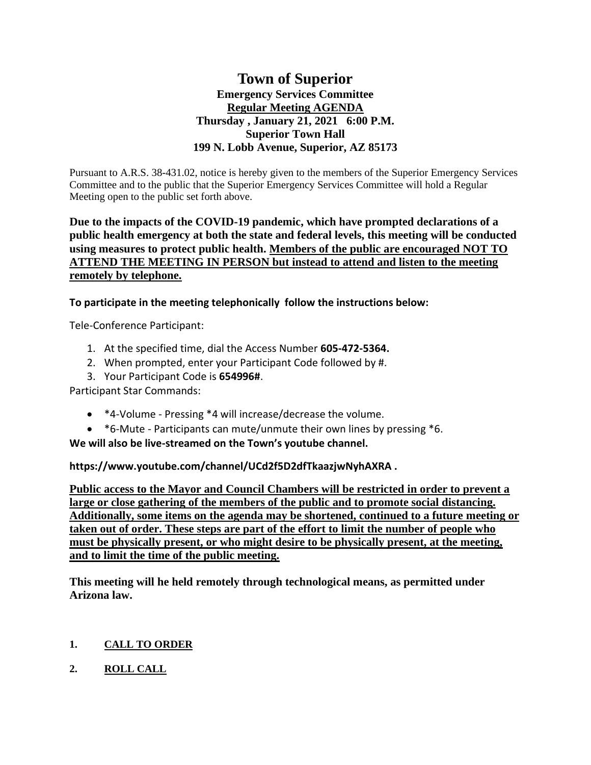# **Town of Superior Emergency Services Committee Regular Meeting AGENDA Thursday , January 21, 2021 6:00 P.M. Superior Town Hall 199 N. Lobb Avenue, Superior, AZ 85173**

Pursuant to A.R.S. 38-431.02, notice is hereby given to the members of the Superior Emergency Services Committee and to the public that the Superior Emergency Services Committee will hold a Regular Meeting open to the public set forth above.

## **Due to the impacts of the COVID-19 pandemic, which have prompted declarations of a public health emergency at both the state and federal levels, this meeting will be conducted using measures to protect public health. Members of the public are encouraged NOT TO ATTEND THE MEETING IN PERSON but instead to attend and listen to the meeting remotely by telephone.**

**To participate in the meeting telephonically follow the instructions below:**

Tele-Conference Participant:

- 1. At the specified time, dial the Access Number **605-472-5364.**
- 2. When prompted, enter your Participant Code followed by #.
- 3. Your Participant Code is **654996#**.

Participant Star Commands:

- \*4-Volume Pressing \*4 will increase/decrease the volume.
- \*6-Mute Participants can mute/unmute their own lines by pressing \*6.

**We will also be live-streamed on the Town's youtube channel.** 

**https://www.youtube.com/channel/UCd2f5D2dfTkaazjwNyhAXRA .** 

**Public access to the Mayor and Council Chambers will be restricted in order to prevent a large or close gathering of the members of the public and to promote social distancing. Additionally, some items on the agenda may be shortened, continued to a future meeting or taken out of order. These steps are part of the effort to limit the number of people who must be physically present, or who might desire to be physically present, at the meeting, and to limit the time of the public meeting.**

**This meeting will he held remotely through technological means, as permitted under Arizona law.**

# **1. CALL TO ORDER**

**2. ROLL CALL**